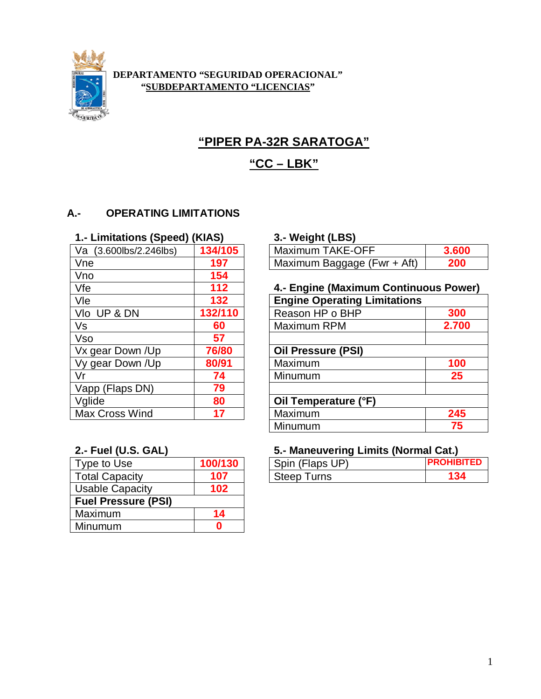

#### **DEPARTAMENTO "SEGURIDAD OPERACIONAL" "SUBDEPARTAMENTO "LICENCIAS"**

# **"PIPER PA-32R SARATOGA"**

## **"CC – LBK"**

#### **A.- OPERATING LIMITATIONS**

#### **1.- Limitations (Speed) (KIAS) 3.- Weight (LBS)**

| 134/105 | <b>Maximum TAKE-OFF</b>             |
|---------|-------------------------------------|
| 197     | Maximum Baggage (Fwr + Aft)         |
| 154     |                                     |
| 112     | 4.- Engine (Maximum Continu         |
| 132     | <b>Engine Operating Limitations</b> |
| 132/110 | Reason HP o BHP                     |
| 60      | Maximum RPM                         |
| 57      |                                     |
| 76/80   | <b>Oil Pressure (PSI)</b>           |
| 80/91   | Maximum                             |
| 74      | Minumum                             |
| 79      |                                     |
| 80      | Oil Temperature (°F)                |
| 17      | Maximum                             |
|         |                                     |

| Type to Use                | 100/130 |  |  |
|----------------------------|---------|--|--|
| <b>Total Capacity</b>      | 107     |  |  |
| <b>Usable Capacity</b>     | 102     |  |  |
| <b>Fuel Pressure (PSI)</b> |         |  |  |
| Maximum                    | 14      |  |  |
| Minumum                    |         |  |  |

| Va (3.600lbs/2.246lbs) | 134/105 | Maximum TAKE-OFF            |  |
|------------------------|---------|-----------------------------|--|
| Vne                    |         | Maximum Baggage (Fwr + Aft) |  |

#### Vfe **112 4.- Engine (Maximum Continuous Power)**

| $\overline{\mathsf{V}}$ le | 132     | <b>Engine Operating Limitations</b> |       |
|----------------------------|---------|-------------------------------------|-------|
| VIo UP & DN                | 132/110 | Reason HP o BHP                     | 300   |
| Vs                         | 60      | Maximum RPM                         | 2.700 |
| Vso                        | 57      |                                     |       |
| Vx gear Down /Up           | 76/80   | <b>Oil Pressure (PSI)</b>           |       |
| Vy gear Down /Up           | 80/91   | Maximum                             | 100   |
| Vr                         | 74      | Minumum                             | 25    |
| Vapp (Flaps DN)            | 79      |                                     |       |
| Vglide                     | 80      | Oil Temperature (°F)                |       |
| Max Cross Wind             | 17      | Maximum                             | 245   |
|                            |         | Minumum                             | 75    |

#### **2.- Fuel (U.S. GAL) 5.- Maneuvering Limits (Normal Cat.)**

| Type to Use           |    | Spin (Flaps UP)      | PROHIBITEI |
|-----------------------|----|----------------------|------------|
| <b>Total Capacity</b> | 07 | <b>Steep</b><br>urns | 134        |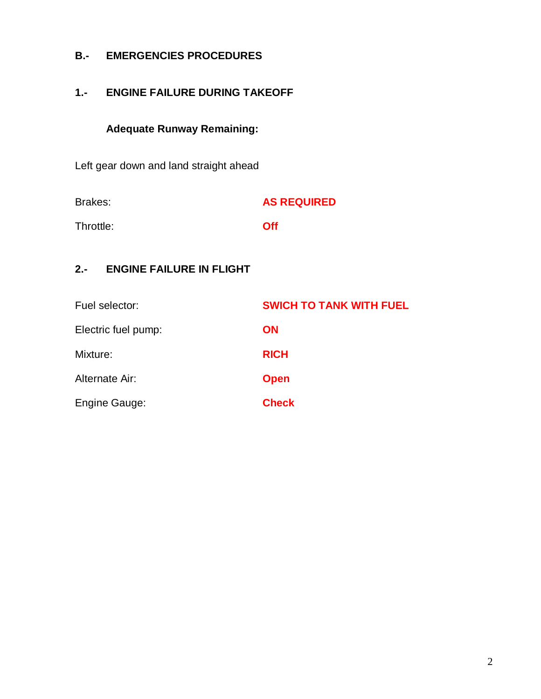### **B.- EMERGENCIES PROCEDURES**

## **1.- ENGINE FAILURE DURING TAKEOFF**

# **Adequate Runway Remaining:**

Left gear down and land straight ahead

| Brakes:   | <b>AS REQUIRED</b> |
|-----------|--------------------|
| Throttle: | <b>Off</b>         |

### **2.- ENGINE FAILURE IN FLIGHT**

| Fuel selector:       | <b>SWICH TO TANK WITH FUEL</b> |
|----------------------|--------------------------------|
| Electric fuel pump:  | <b>ON</b>                      |
| Mixture:             | <b>RICH</b>                    |
| Alternate Air:       | <b>Open</b>                    |
| <b>Engine Gauge:</b> | <b>Check</b>                   |